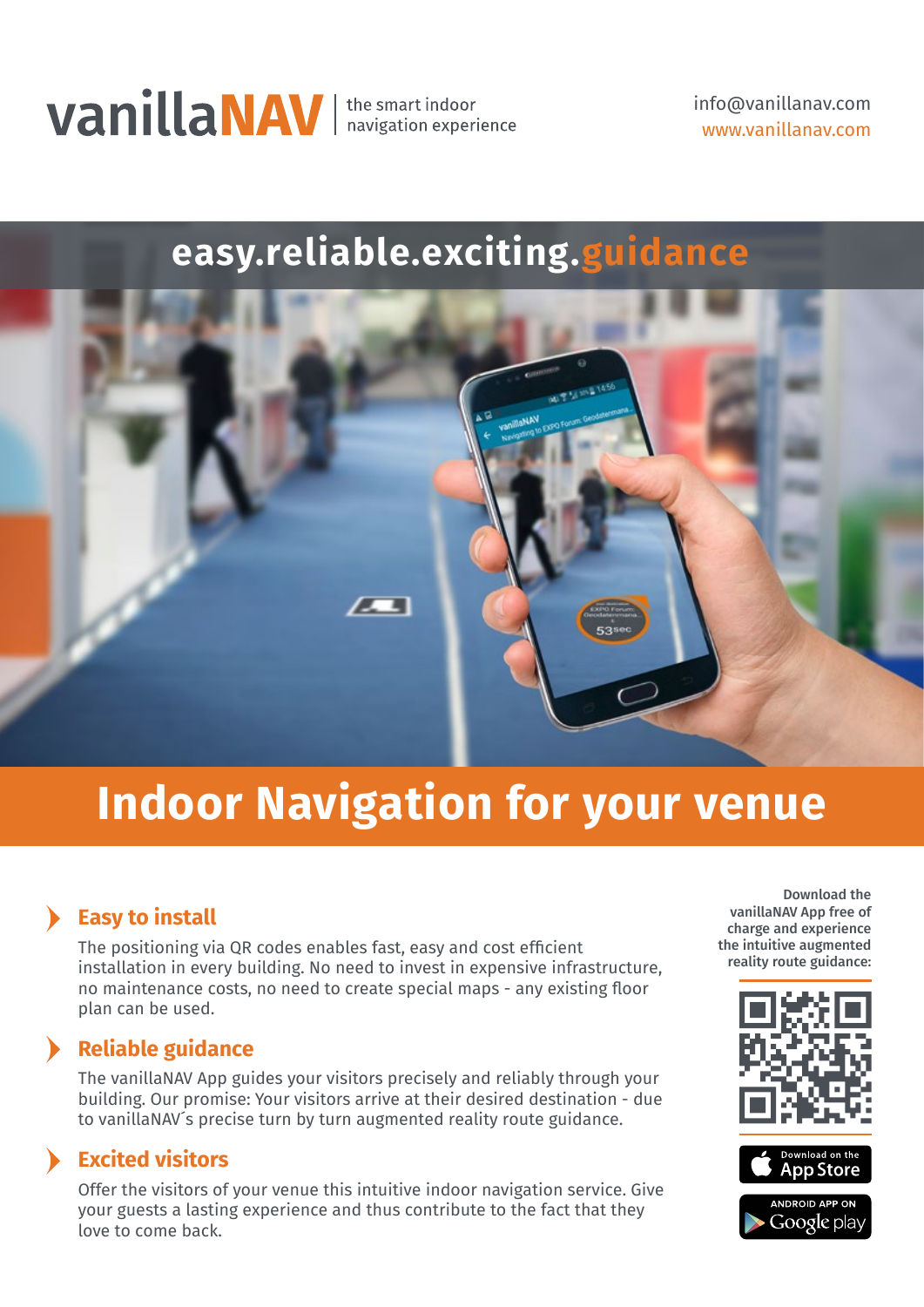

info@vanillanav.com www.vanillanav.com

### **easy.reliable.exciting.guidance**



## **Indoor Navigation for your venue**

### **Easy to install**

The positioning via QR codes enables fast, easy and cost efficient installation in every building. No need to invest in expensive infrastructure, no maintenance costs, no need to create special maps - any existing floor plan can be used.

### **Reliable guidance**

The vanillaNAV App guides your visitors precisely and reliably through your building. Our promise: Your visitors arrive at their desired destination - due to vanillaNAV´s precise turn by turn augmented reality route guidance.

### **Excited visitors**

Offer the visitors of your venue this intuitive indoor navigation service. Give your guests a lasting experience and thus contribute to the fact that they love to come back.

Download the vanillaNAV App free of charge and experience the intuitive augmented reality route guidance: